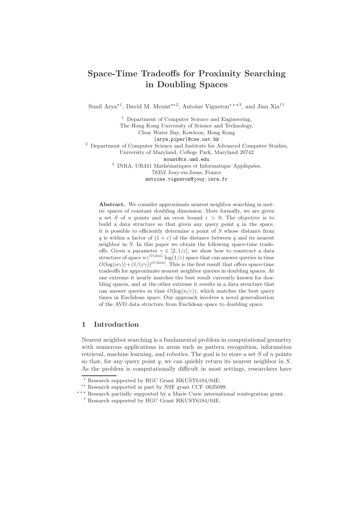# Space-Time Tradeoffs for Proximity Searching in Doubling Spaces

Sunil Arya<sup>\*1</sup>, David M. Mount<sup>\*\*2</sup>, Antoine Vigneron<sup>\*\*\*3</sup>, and Jian Xia<sup>†1</sup>

<sup>1</sup> Department of Computer Science and Engineering, The Hong Kong University of Science and Technology,

Clear Water Bay, Kowloon, Hong Kong

{arya,piper}@cse.ust.hk

<sup>2</sup> Department of Computer Science and Institute for Advanced Computer Studies,

University of Maryland, College Park, Maryland 20742

mount@cs.umd.edu

<sup>3</sup> INRA, UR341 Mathématiques et Informatique Appliquées, 78352 Jouy-en-Josas, France

antoine.vigneron@jouy.inra.fr

Abstract. We consider approximate nearest neighbor searching in metric spaces of constant doubling dimension. More formally, we are given a set S of n points and an error bound  $\varepsilon > 0$ . The objective is to build a data structure so that given any query point  $q$  in the space, it is possible to efficiently determine a point of S whose distance from q is within a factor of  $(1 + \varepsilon)$  of the distance between q and its nearest neighbor in S. In this paper we obtain the following space-time tradeoffs. Given a parameter  $\gamma \in [2, 1/\varepsilon]$ , we show how to construct a data structure of space  $n\gamma^{O(\text{dim})}\log(1/\varepsilon)$  space that can answer queries in time  $O(\log(n\gamma))+(1/(\varepsilon\gamma))^{O(\dim)}$ . This is the first result that offers space-time tradeoffs for approximate nearest neighbor queries in doubling spaces. At one extreme it nearly matches the best result currently known for doubling spaces, and at the other extreme it results in a data structure that can answer queries in time  $O(\log(n/\varepsilon))$ , which matches the best query times in Euclidean space. Our approach involves a novel generalization of the AVD data structure from Euclidean space to doubling space.

# 1 Introduction

Nearest neighbor searching is a fundamental problem in computational geometry with numerous applications in areas such as pattern recognition, information retrieval, machine learning, and robotics. The goal is to store a set  $S$  of  $n$  points so that, for any query point  $q$ , we can quickly return its nearest neighbor in  $S$ . As the problem is computationally difficult in most settings, researchers have

<sup>⋆</sup> Research supported by RGC Grant HKUST6184/04E.

<sup>⋆⋆</sup> Research supported in part by NSF grant CCF–0635099.

<sup>\*\*\*</sup> Research partially supported by a Marie Curie international reintegration grant.

<sup>†</sup> Research supported by RGC Grant HKUST6184/04E.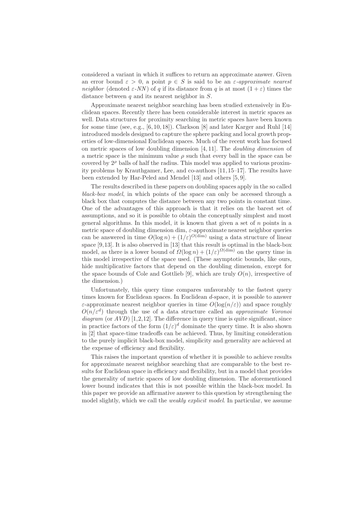considered a variant in which it suffices to return an approximate answer. Given an error bound  $\varepsilon > 0$ , a point  $p \in S$  is said to be an  $\varepsilon$ -approximate nearest neighbor (denoted  $\varepsilon$ -NN) of q if its distance from q is at most  $(1 + \varepsilon)$  times the distance between  $q$  and its nearest neighbor in  $S$ .

Approximate nearest neighbor searching has been studied extensively in Euclidean spaces. Recently there has been considerable interest in metric spaces as well. Data structures for proximity searching in metric spaces have been known for some time (see, e.g.,  $[6, 10, 18]$ ). Clarkson  $[8]$  and later Karger and Ruhl  $[14]$ introduced models designed to capture the sphere packing and local growth properties of low-dimensional Euclidean spaces. Much of the recent work has focused on metric spaces of low doubling dimension [4, 11]. The doubling dimension of a metric space is the minimum value  $\rho$  such that every ball in the space can be covered by  $2^{\rho}$  balls of half the radius. This model was applied to various proximity problems by Krauthgamer, Lee, and co-authors [11, 15–17]. The results have been extended by Har-Peled and Mendel [13] and others [5, 9].

The results described in these papers on doubling spaces apply in the so called black-box model, in which points of the space can only be accessed through a black box that computes the distance between any two points in constant time. One of the advantages of this approach is that it relies on the barest set of assumptions, and so it is possible to obtain the conceptually simplest and most general algorithms. In this model, it is known that given a set of  $n$  points in a metric space of doubling dimension dim,  $\varepsilon$ -approximate nearest neighbor queries can be answered in time  $O(\log n) + (1/\varepsilon)^{O(\dim)}$  using a data structure of linear space [9,13]. It is also observed in [13] that this result is optimal in the black-box model, as there is a lower bound of  $\Omega(\log n) + (1/\varepsilon)^{\Omega(\dim)}$  on the query time in this model irrespective of the space used. (These asymptotic bounds, like ours, hide multiplicative factors that depend on the doubling dimension, except for the space bounds of Cole and Gottlieb [9], which are truly  $O(n)$ , irrespective of the dimension.)

Unfortunately, this query time compares unfavorably to the fastest query times known for Euclidean spaces. In Euclidean d-space, it is possible to answer  $\varepsilon$ -approximate nearest neighbor queries in time  $O(\log(n/\varepsilon))$  and space roughly  $O(n/\varepsilon^d)$  through the use of a data structure called an approximate Voronoi  $diagram$  (or  $AVD$ ) [1,2,12]. The difference in query time is quite significant, since in practice factors of the form  $(1/\varepsilon)^d$  dominate the query time. It is also shown in [2] that space-time tradeoffs can be achieved. Thus, by limiting consideration to the purely implicit black-box model, simplicity and generality are achieved at the expense of efficiency and flexibility.

This raises the important question of whether it is possible to achieve results for approximate nearest neighbor searching that are comparable to the best results for Euclidean space in efficiency and flexibility, but in a model that provides the generality of metric spaces of low doubling dimension. The aforementioned lower bound indicates that this is not possible within the black-box model. In this paper we provide an affirmative answer to this question by strengthening the model slightly, which we call the *weakly explicit model*. In particular, we assume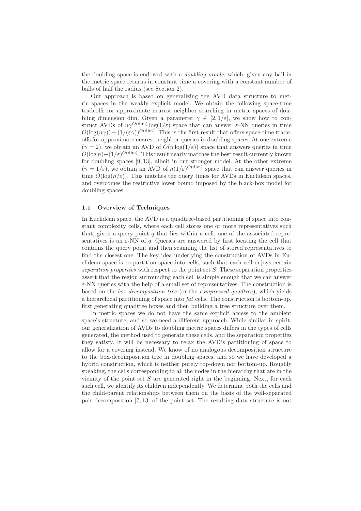the doubling space is endowed with a *doubling oracle*, which, given any ball in the metric space returns in constant time a covering with a constant number of balls of half the radius (see Section 2).

Our approach is based on generalizing the AVD data structure to metric spaces in the weakly explicit model. We obtain the following space-time tradeoffs for approximate nearest neighbor searching in metric spaces of doubling dimension dim. Given a parameter  $\gamma \in [2, 1/\varepsilon]$ , we show how to construct AVDs of  $n\gamma^{O(\text{dim})}\log(1/\varepsilon)$  space that can answer  $\varepsilon$ -NN queries in time  $O(\log(n\gamma)) + (1/(\varepsilon\gamma))^{O(\dim)}$ . This is the first result that offers space-time tradeoffs for approximate nearest neighbor queries in doubling spaces. At one extreme  $(\gamma = 2)$ , we obtain an AVD of  $O(n \log(1/\varepsilon))$  space that answers queries in time  $O(\log n) + (1/\varepsilon)^{O(\dim)}$ . This result nearly matches the best result currently known for doubling spaces [9, 13], albeit in our stronger model. At the other extreme  $(\gamma = 1/\varepsilon)$ , we obtain an AVD of  $n(1/\varepsilon)^{O(\dim)}$  space that can answer queries in time  $O(\log(n/\varepsilon))$ . This matches the query times for AVDs in Euclidean spaces, and overcomes the restrictive lower bound imposed by the black-box model for doubling spaces.

#### 1.1 Overview of Techniques

In Euclidean space, the AVD is a quadtree-based partitioning of space into constant complexity cells, where each cell stores one or more representatives such that, given a query point  $q$  that lies within a cell, one of the associated representatives is an  $\varepsilon$ -NN of q. Queries are answered by first locating the cell that contains the query point and then scanning the list of stored representatives to find the closest one. The key idea underlying the construction of AVDs in Euclidean space is to partition space into cells, such that each cell enjoys certain separation properties with respect to the point set  $S$ . These separation properties assert that the region surrounding each cell is simple enough that we can answer  $\varepsilon$ -NN queries with the help of a small set of representatives. The construction is based on the box-decomposition tree (or the compressed quadtree), which yields a hierarchical partitioning of space into fat cells. The construction is bottom-up, first generating quadtree boxes and then building a tree structure over them.

In metric spaces we do not have the same explicit access to the ambient space's structure, and so we need a different approach. While similar in spirit, our generalization of AVDs to doubling metric spaces differs in the types of cells generated, the method used to generate these cells, and the separation properties they satisfy. It will be necessary to relax the AVD's partitioning of space to allow for a covering instead. We know of no analogous decomposition structure to the box-decomposition tree in doubling spaces, and so we have developed a hybrid construction, which is neither purely top-down nor bottom-up. Roughly speaking, the cells corresponding to all the nodes in the hierarchy that are in the vicinity of the point set  $S$  are generated right in the beginning. Next, for each such cell, we identify its children independently. We determine both the cells and the child-parent relationships between them on the basis of the well-separated pair decomposition [7, 13] of the point set. The resulting data structure is not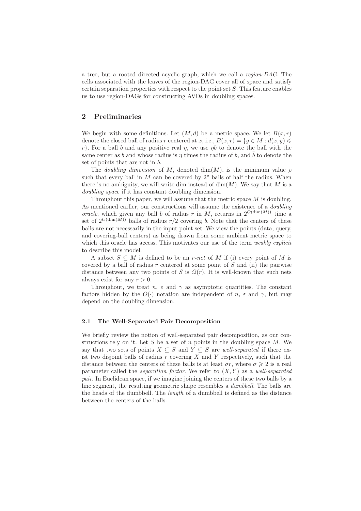a tree, but a rooted directed acyclic graph, which we call a region-DAG. The cells associated with the leaves of the region-DAG cover all of space and satisfy certain separation properties with respect to the point set  $S$ . This feature enables us to use region-DAGs for constructing AVDs in doubling spaces.

# 2 Preliminaries

We begin with some definitions. Let  $(M, d)$  be a metric space. We let  $B(x, r)$ denote the closed ball of radius r centered at x, i.e.,  $B(x, r) = \{y \in M : d(x, y) \leq \}$ r}. For a ball b and any positive real  $\eta$ , we use  $\eta b$  to denote the ball with the same center as b and whose radius is  $\eta$  times the radius of b, and b to denote the set of points that are not in b.

The *doubling dimension* of M, denoted dim(M), is the minimum value  $\rho$ such that every ball in  $M$  can be covered by  $2^{\rho}$  balls of half the radius. When there is no ambiguity, we will write dim instead of  $dim(M)$ . We say that M is a doubling space if it has constant doubling dimension.

Throughout this paper, we will assume that the metric space  $M$  is doubling. As mentioned earlier, our constructions will assume the existence of a doubling oracle, which given any ball b of radius r in M, returns in  $2^{O(\dim(M))}$  time a set of  $2^{O(\dim(\widetilde{M}))}$  balls of radius  $r/2$  covering b. Note that the centers of these balls are not necessarily in the input point set. We view the points (data, query, and covering-ball centers) as being drawn from some ambient metric space to which this oracle has access. This motivates our use of the term *weakly explicit* to describe this model.

A subset  $S \subseteq M$  is defined to be an r-net of M if (i) every point of M is covered by a ball of radius  $r$  centered at some point of  $S$  and (ii) the pairwise distance between any two points of S is  $\Omega(r)$ . It is well-known that such nets always exist for any  $r > 0$ .

Throughout, we treat  $n, \varepsilon$  and  $\gamma$  as asymptotic quantities. The constant factors hidden by the  $O(\cdot)$  notation are independent of n,  $\varepsilon$  and  $\gamma$ , but may depend on the doubling dimension.

#### 2.1 The Well-Separated Pair Decomposition

We briefly review the notion of well-separated pair decomposition, as our constructions rely on it. Let S be a set of n points in the doubling space  $M$ . We say that two sets of points  $X \subseteq S$  and  $Y \subseteq S$  are well-separated if there exist two disjoint balls of radius  $r$  covering  $X$  and  $Y$  respectively, such that the distance between the centers of these balls is at least  $\sigma r$ , where  $\sigma \geq 2$  is a real parameter called the *separation factor*. We refer to  $(X, Y)$  as a well-separated pair. In Euclidean space, if we imagine joining the centers of these two balls by a line segment, the resulting geometric shape resembles a dumbbell. The balls are the heads of the dumbbell. The length of a dumbbell is defined as the distance between the centers of the balls.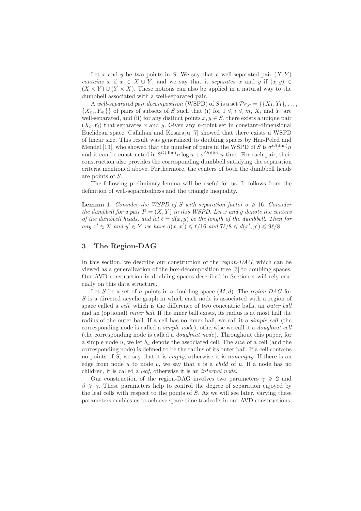Let x and y be two points in S. We say that a well-separated pair  $(X, Y)$ contains x if  $x \in X \cup Y$ , and we say that it separates x and y if  $(x, y) \in$  $(X \times Y) \cup (Y \times X)$ . These notions can also be applied in a natural way to the dumbbell associated with a well-separated pair.

A well-separated pair decomposition (WSPD) of S is a set  $\mathcal{P}_{S,\sigma} = \{\{X_1, Y_1\}, \ldots, \}$  $\{X_m, Y_m\}$  of pairs of subsets of S such that (i) for  $1 \leq i \leq m$ ,  $X_i$  and  $Y_i$  are well-separated, and (ii) for any distinct points  $x, y \in S$ , there exists a unique pair  $(X_i, Y_i)$  that separates x and y. Given any n-point set in constant-dimensional Euclidean space, Callahan and Kosaraju [7] showed that there exists a WSPD of linear size. This result was generalized to doubling spaces by Har-Peled and Mendel [13], who showed that the number of pairs in the WSPD of S is  $\sigma^{O(\dim)} n$ and it can be constructed in  $2^{O(\dim)} n \log n + \sigma^{O(\dim)} n$  time. For each pair, their construction also provides the corresponding dumbbell satisfying the separation criteria mentioned above. Furthermore, the centers of both the dumbbell heads are points of S.

The following preliminary lemma will be useful for us. It follows from the definition of well-separatedness and the triangle inequality.

**Lemma 1.** Consider the WSPD of S with separation factor  $\sigma \geq 16$ . Consider the dumbbell for a pair  $P = (X, Y)$  in this WSPD. Let x and y denote the centers of the dumbbell heads, and let  $\ell = d(x, y)$  be the length of the dumbbell. Then for any  $x' \in X$  and  $y' \in Y$  we have  $d(x, x') \leq \ell/16$  and  $7\ell/8 \leq d(x', y') \leq 9\ell/8$ .

## 3 The Region-DAG

In this section, we describe our construction of the region- $DAG$ , which can be viewed as a generalization of the box-decomposition tree [3] to doubling spaces. Our AVD construction in doubling spaces described in Section 4 will rely crucially on this data structure.

Let S be a set of n points in a doubling space  $(M, d)$ . The region-DAG for S is a directed acyclic graph in which each node is associated with a region of space called a *cell*, which is the difference of two concentric balls, an *outer ball* and an (optional) *inner ball*. If the inner ball exists, its radius is at most half the radius of the outer ball. If a cell has no inner ball, we call it a simple cell (the corresponding node is called a simple node), otherwise we call it a doughnut cell (the corresponding node is called a doughnut node). Throughout this paper, for a simple node u, we let  $b_u$  denote the associated cell. The *size* of a cell (and the corresponding node) is defined to be the radius of its outer ball. If a cell contains no points of S, we say that it is *empty*, otherwise it is *nonempty*. If there is an edge from node u to node v, we say that v is a *child* of u. If a node has no children, it is called a leaf, otherwise it is an internal node.

Our construction of the region-DAG involves two parameters  $\gamma \geq 2$  and  $\beta \geq \gamma$ . These parameters help to control the degree of separation enjoyed by the leaf cells with respect to the points of  $S$ . As we will see later, varying these parameters enables us to achieve space-time tradeoffs in our AVD constructions.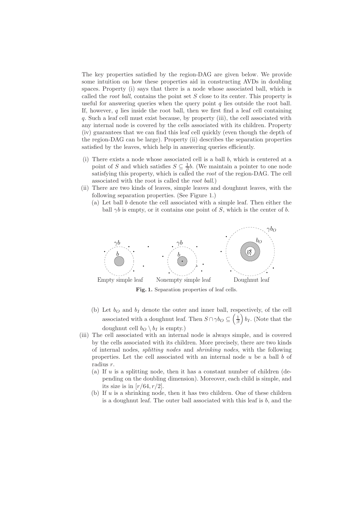The key properties satisfied by the region-DAG are given below. We provide some intuition on how these properties aid in constructing AVDs in doubling spaces. Property (i) says that there is a node whose associated ball, which is called the *root ball*, contains the point set  $S$  close to its center. This property is useful for answering queries when the query point  $q$  lies outside the root ball. If, however,  $q$  lies inside the root ball, then we first find a leaf cell containing q. Such a leaf cell must exist because, by property (iii), the cell associated with any internal node is covered by the cells associated with its children. Property (iv) guarantees that we can find this leaf cell quickly (even though the depth of the region-DAG can be large). Property (ii) describes the separation properties satisfied by the leaves, which help in answering queries efficiently.

- (i) There exists a node whose associated cell is a ball  $b$ , which is centered at a point of S and which satisfies  $S \subseteq \frac{1}{\beta}b$ . (We maintain a pointer to one node satisfying this property, which is called the root of the region-DAG. The cell associated with the root is called the root ball.)
- (ii) There are two kinds of leaves, simple leaves and doughnut leaves, with the following separation properties. (See Figure 1.)
	- (a) Let ball b denote the cell associated with a simple leaf. Then either the ball  $\gamma b$  is empty, or it contains one point of S, which is the center of b.



Fig. 1. Separation properties of leaf cells.

- (b) Let  $b<sub>O</sub>$  and  $b<sub>I</sub>$  denote the outer and inner ball, respectively, of the cell associated with a doughnut leaf. Then  $S \cap \gamma b_O \subseteq \left(\frac{1}{\beta}\right) b_I$ . (Note that the doughnut cell  $b_O \setminus b_I$  is empty.)
- (iii) The cell associated with an internal node is always simple, and is covered by the cells associated with its children. More precisely, there are two kinds of internal nodes, splitting nodes and shrinking nodes, with the following properties. Let the cell associated with an internal node  $u$  be a ball  $b$  of radius r.
	- (a) If  $u$  is a splitting node, then it has a constant number of children (depending on the doubling dimension). Moreover, each child is simple, and its size is in  $[r/64, r/2]$ .
	- (b) If  $u$  is a shrinking node, then it has two children. One of these children is a doughnut leaf. The outer ball associated with this leaf is  $b$ , and the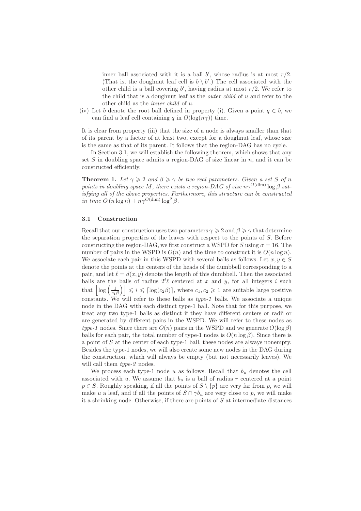inner ball associated with it is a ball  $b'$ , whose radius is at most  $r/2$ . (That is, the doughnut leaf cell is  $b \setminus b'$ .) The cell associated with the other child is a ball covering  $b'$ , having radius at most  $r/2$ . We refer to the child that is a doughnut leaf as the *outer child* of  $u$  and refer to the other child as the inner child of u.

(iv) Let b denote the root ball defined in property (i). Given a point  $q \in b$ , we can find a leaf cell containing q in  $O(\log(n\gamma))$  time.

It is clear from property (iii) that the size of a node is always smaller than that of its parent by a factor of at least two, except for a doughnut leaf, whose size is the same as that of its parent. It follows that the region-DAG has no cycle.

In Section 3.1, we will establish the following theorem, which shows that any set S in doubling space admits a region-DAG of size linear in  $n$ , and it can be constructed efficiently.

**Theorem 1.** Let  $\gamma \geq 2$  and  $\beta \geq \gamma$  be two real parameters. Given a set S of n points in doubling space M, there exists a region-DAG of size  $n\gamma^{O(\text{dim})}\log\beta$  satisfying all of the above properties. Furthermore, this structure can be constructed in time  $O(n \log n) + n \gamma^{O(\dim)} \log^2 \beta$ .

#### 3.1 Construction

Recall that our construction uses two parameters  $\gamma \geqslant 2$  and  $\beta \geqslant \gamma$  that determine the separation properties of the leaves with respect to the points of S. Before constructing the region-DAG, we first construct a WSPD for S using  $\sigma = 16$ . The number of pairs in the WSPD is  $O(n)$  and the time to construct it is  $O(n \log n)$ . We associate each pair in this WSPD with several balls as follows. Let  $x, y \in S$ denote the points at the centers of the heads of the dumbbell corresponding to a pair, and let  $\ell = d(x, y)$  denote the length of this dumbbell. Then the associated balls are the balls of radius  $2^{i}\ell$  centered at x and y, for all integers i such that  $\left|\log\left(\frac{1}{c_1\beta}\right)\right| \leqslant i \leqslant \left\lceil \log(c_2\beta)\right\rceil$ , where  $c_1, c_2 \geqslant 1$  are suitable large positive constants. We will refer to these balls as  $type-1$  balls. We associate a unique node in the DAG with each distinct type-1 ball. Note that for this purpose, we treat any two type-1 balls as distinct if they have different centers or radii or are generated by different pairs in the WSPD. We will refer to these nodes as type-1 nodes. Since there are  $O(n)$  pairs in the WSPD and we generate  $O(\log \beta)$ balls for each pair, the total number of type-1 nodes is  $O(n \log \beta)$ . Since there is a point of S at the center of each type-1 ball, these nodes are always nonempty. Besides the type-1 nodes, we will also create some new nodes in the DAG during the construction, which will always be empty (but not necessarily leaves). We will call them *type-2* nodes.

We process each type-1 node u as follows. Recall that  $b<sub>u</sub>$  denotes the cell associated with u. We assume that  $b<sub>u</sub>$  is a ball of radius r centered at a point  $p \in S$ . Roughly speaking, if all the points of  $S \setminus \{p\}$  are very far from p, we will make u a leaf, and if all the points of  $S \cap \gamma b_u$  are very close to p, we will make it a shrinking node. Otherwise, if there are points of  $S$  at intermediate distances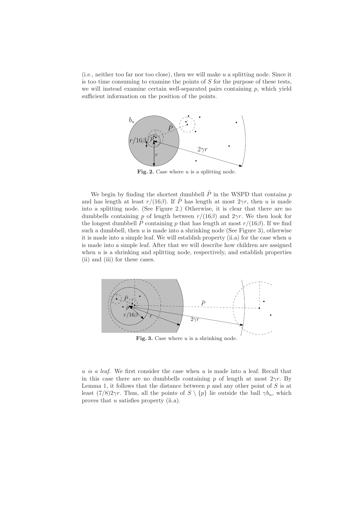(i.e., neither too far nor too close), then we will make u a splitting node. Since it is too time consuming to examine the points of  $S$  for the purpose of these tests, we will instead examine certain well-separated pairs containing  $p$ , which yield sufficient information on the position of the points.



Fig. 2. Case where  $u$  is a splitting node.

We begin by finding the shortest dumbbell  $\tilde{P}$  in the WSPD that contains p and has length at least  $r/(16\beta)$ . If  $\tilde{P}$  has length at most  $2\gamma r$ , then u is made into a splitting node. (See Figure 2.) Otherwise, it is clear that there are no dumbbells containing p of length between  $r/(16\beta)$  and  $2\gamma r$ . We then look for the longest dumbbell  $\hat{P}$  containing p that has length at most  $r/(16\beta)$ . If we find such a dumbbell, then  $u$  is made into a shrinking node (See Figure 3), otherwise it is made into a simple leaf. We will establish property  $(ii.a)$  for the case when u is made into a simple leaf. After that we will describe how children are assigned when  $u$  is a shrinking and splitting node, respectively, and establish properties (ii) and (iii) for these cases.



Fig. 3. Case where  $u$  is a shrinking node.

 $u$  is a leaf. We first consider the case when  $u$  is made into a leaf. Recall that in this case there are no dumbbells containing p of length at most  $2\gamma r$ . By Lemma 1, it follows that the distance between  $p$  and any other point of  $S$  is at least  $(7/8)2\gamma r$ . Thus, all the points of  $S \setminus \{p\}$  lie outside the ball  $\gamma b_u$ , which proves that u satisfies property (ii.a).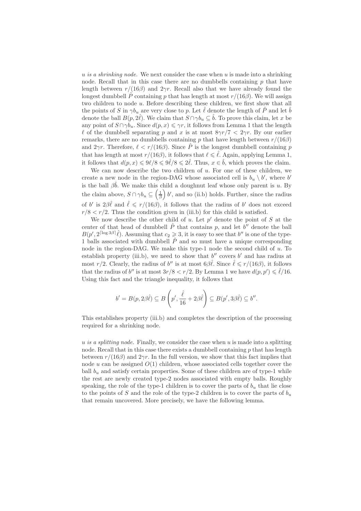u is a shrinking node. We next consider the case when u is made into a shrinking node. Recall that in this case there are no dumbbells containing  $p$  that have length between  $r/(16\beta)$  and  $2\gamma r$ . Recall also that we have already found the longest dumbbell P containing p that has length at most  $r/(16\beta)$ . We will assign two children to node u. Before describing these children, we first show that all the points of S in  $\gamma b_u$  are very close to p. Let  $\hat{\ell}$  denote the length of  $\hat{P}$  and let  $\hat{b}$ denote the ball  $B(p, 2\ell)$ . We claim that  $S \cap \gamma b_u \subseteq \hat{b}$ . To prove this claim, let x be any point of  $S \cap \gamma b_u$ . Since  $d(p, x) \leq \gamma r$ , it follows from Lemma 1 that the length  $\ell$  of the dumbbell separating p and x is at most  $8\gamma r/7 < 2\gamma r$ . By our earlier remarks, there are no dumbbells containing p that have length between  $r/(16\beta)$ and  $2\gamma r$ . Therefore,  $\ell \langle r/(16\beta)$ . Since  $\hat{P}$  is the longest dumbbell containing p that has length at most  $r/(16\beta)$ , it follows that  $\ell \leq \hat{\ell}$ . Again, applying Lemma 1, it follows that  $d(p, x) \leq \frac{9\ell}{8} \leq \frac{9\ell}{8} \leq 2\ell$ . Thus,  $x \in \hat{b}$ , which proves the claim.

We can now describe the two children of  $u$ . For one of these children, we create a new node in the region-DAG whose associated cell is  $b_u \setminus b'$ , where  $b'$ is the ball  $\beta\hat{b}$ . We make this child a doughnut leaf whose only parent is u. By the claim above,  $S \cap \gamma b_u \subseteq \left(\frac{1}{\beta}\right)b'$ , and so (ii.b) holds. Further, since the radius of b' is  $2\beta\ell$  and  $\ell \leq r/(16\beta)$ , it follows that the radius of b' does not exceed  $r/8 < r/2$ . Thus the condition given in (iii.b) for this child is satisfied.

We now describe the other child of  $u$ . Let  $p'$  denote the point of  $S$  at the center of that head of dumbbell  $\hat{P}$  that contains p, and let  $b''$  denote the ball  $B(p', 2^{\lceil \log 3\beta \rceil} \hat{\ell})$ . Assuming that  $c_2 \geqslant 3$ , it is easy to see that  $b''$  is one of the type-1 balls associated with dumbbell  $\hat{P}$  and so must have a unique corresponding node in the region-DAG. We make this type-1 node the second child of  $u$ . To establish property (iii.b), we need to show that  $b''$  covers  $b'$  and has radius at most r/2. Clearly, the radius of b'' is at most  $6\beta\hat{\ell}$ . Since  $\hat{\ell} \leq r/(16\beta)$ , it follows that the radius of b'' is at most  $3r/8 < r/2$ . By Lemma 1 we have  $d(p, p') \leq \ell/16$ . Using this fact and the triangle inequality, it follows that

$$
b'=B(p,2\beta \hat{\ell})\subseteq B\left(p',\frac{\hat{\ell}}{16}+2\beta \hat{\ell}\right)\subseteq B(p',3\beta \hat{\ell})\subseteq b''.
$$

This establishes property (iii.b) and completes the description of the processing required for a shrinking node.

u is a splitting node. Finally, we consider the case when u is made into a splitting node. Recall that in this case there exists a dumbbell containing  $p$  that has length between  $r/(16\beta)$  and  $2\gamma r$ . In the full version, we show that this fact implies that node u can be assigned  $O(1)$  children, whose associated cells together cover the ball  $b_u$  and satisfy certain properties. Some of these children are of type-1 while the rest are newly created type-2 nodes associated with empty balls. Roughly speaking, the role of the type-1 children is to cover the parts of  $b_u$  that lie close to the points of S and the role of the type-2 children is to cover the parts of  $b_u$ that remain uncovered. More precisely, we have the following lemma.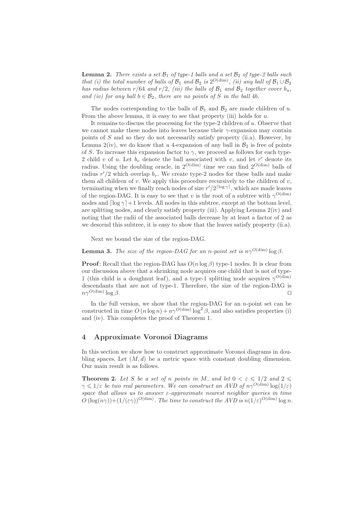**Lemma 2.** There exists a set  $\mathcal{B}_1$  of type-1 balls and a set  $\mathcal{B}_2$  of type-2 balls such that (i) the total number of balls of  $B_1$  and  $B_2$  is  $2^{O(\dim)}$ , (ii) any ball of  $B_1 \cup B_2$ has radius between  $r/64$  and  $r/2$ , (iii) the balls of  $\mathcal{B}_1$  and  $\mathcal{B}_2$  together cover  $b_u$ , and (iv) for any ball  $b \in \mathcal{B}_2$ , there are no points of S in the ball 4b.

The nodes corresponding to the balls of  $\mathcal{B}_1$  and  $\mathcal{B}_2$  are made children of u. From the above lemma, it is easy to see that property (iii) holds for  $u$ .

It remains to discuss the processing for the type-2 children of  $u$ . Observe that we cannot make these nodes into leaves because their  $\gamma$ -expansion may contain points of  $S$  and so they do not necessarily satisfy property (ii.a). However, by Lemma 2(iv), we do know that a 4-expansion of any ball in  $\mathcal{B}_2$  is free of points of S. To increase this expansion factor to  $\gamma$ , we proceed as follows for each type-2 child v of u. Let  $b_v$  denote the ball associated with v, and let r' denote its radius. Using the doubling oracle, in  $2^{O(\text{dim})}$  time we can find  $2^{O(\text{dim})}$  balls of radius  $r'/2$  which overlap  $b_v$ . We create type-2 nodes for these balls and make them all children of  $v$ . We apply this procedure recursively to the children of  $v$ , terminating when we finally reach nodes of size  $r'/2^{\lceil \log \gamma \rceil}$ , which are made leaves of the region-DAG. It is easy to see that v is the root of a subtree with  $\gamma^{O(\text{dim})}$ nodes and  $\lceil \log \gamma \rceil + 1$  levels. All nodes in this subtree, except at the bottom level, are splitting nodes, and clearly satisfy property (iii). Applying Lemma 2(iv) and noting that the radii of the associated balls decrease by at least a factor of 2 as we descend this subtree, it is easy to show that the leaves satisfy property (ii.a).

Next we bound the size of the region-DAG.

**Lemma 3.** The size of the region-DAG for an n-point set is  $n\gamma^{O(\dim)}\log\beta$ .

**Proof:** Recall that the region-DAG has  $O(n \log \beta)$  type-1 nodes. It is clear from our discussion above that a shrinking node acquires one child that is not of type-1 (this child is a doughnut leaf), and a type-1 splitting node acquires  $\gamma^{O(\text{dim})}$ descendants that are not of type-1. Therefore, the size of the region-DAG is  $n\gamma^{O(\dim)}\log\beta.$ 

In the full version, we show that the region-DAG for an  $n$ -point set can be constructed in time  $O(n \log n) + n\gamma^{O(\dim)} \log^2 \beta$ , and also satisfies properties (i) and (iv). This completes the proof of Theorem 1.

### 4 Approximate Voronoi Diagrams

In this section we show how to construct approximate Voronoi diagrams in doubling spaces. Let  $(M, d)$  be a metric space with constant doubling dimension. Our main result is as follows.

**Theorem 2.** Let S be a set of n points in M, and let  $0 < \varepsilon \leq 1/2$  and  $2 \leq$  $\gamma \leq 1/\varepsilon$  be two real parameters. We can construct an AVD of  $n\gamma^{O(\dim)}\log(1/\varepsilon)$ space that allows us to answer  $\varepsilon$ -approximate nearest neighbor queries in time  $O(\log(n\gamma))+(1/(\varepsilon\gamma))^{O(\dim)}$ . The time to construct the AVD is  $n(1/\varepsilon)^{O(\dim)}\log n$ .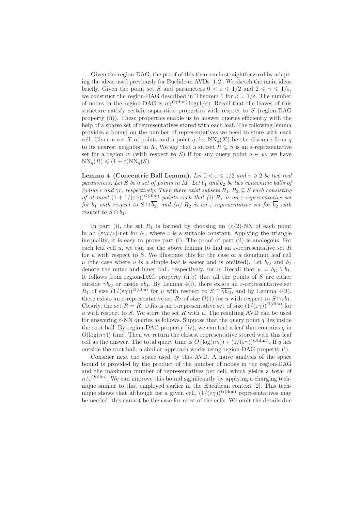Given the region-DAG, the proof of this theorem is straightforward by adapting the ideas used previously for Euclidean AVDs [1,2]. We sketch the main ideas briefly. Given the point set S and parameters  $0 < \varepsilon \leq 1/2$  and  $2 \leq \gamma \leq 1/\varepsilon$ , we construct the region-DAG described in Theorem 1 for  $\beta = 1/\varepsilon$ . The number of nodes in the region-DAG is  $n\gamma^{O(\dim)}\log(1/\varepsilon)$ . Recall that the leaves of this structure satisfy certain separation properties with respect to S (region-DAG property (ii)). These properties enable us to answer queries efficiently with the help of a sparse set of representatives stored with each leaf. The following lemma provides a bound on the number of representatives we need to store with each cell. Given a set X of points and a point q, let  $NN_q(X)$  be the distance from q to its nearest neighbor in X. We say that a subset  $R \subseteq S$  is an  $\varepsilon$ -representative set for a region w (with respect to S) if for any query point  $q \in w$ , we have  $NN_a(R) \leqslant (1+\varepsilon)NN_a(S).$ 

**Lemma 4 (Concentric Ball Lemma).** Let  $0 < \varepsilon \leq 1/2$  and  $\gamma \geq 2$  be two real parameters. Let S be a set of points in M. Let  $b_1$  and  $b_2$  be two concentric balls of radius r and  $\gamma r$ , respectively. Then there exist subsets  $R_1, R_2 \subseteq S$  each consisting of at most  $(1 + 1/(\epsilon \gamma))^{O(\dim)}$  points such that (i)  $R_1$  is an  $\epsilon$ -representative set for  $b_1$  with respect to  $S \cap \overline{b_2}$ , and (ii)  $R_2$  is an  $\varepsilon$ -representative set for  $\overline{b_2}$  with respect to  $S \cap b_1$ .

In part (i), the set  $R_1$  is formed by choosing an  $(\varepsilon/2)$ -NN of each point in an  $(\epsilon \gamma r/c)$ -net for  $b_1$ , where c is a suitable constant. Applying the triangle inequality, it is easy to prove part (i). The proof of part (ii) is analogous. For each leaf cell u, we can use the above lemma to find an  $\varepsilon$ -representative set R for  $u$  with respect to  $S$ . We illustrate this for the case of a doughnut leaf cell u (the case where u is a simple leaf is easier and is omitted). Let  $b<sub>O</sub>$  and  $b<sub>I</sub>$ denote the outer and inner ball, respectively, for u. Recall that  $u = b_O \setminus b_I$ . It follows from region-DAG property (ii.b) that all the points of  $S$  are either outside  $\gamma b_{\Omega}$  or inside  $\varepsilon b_{\text{I}}$ . By Lemma 4(i), there exists an  $\varepsilon$ -representative set  $R_1$  of size  $(1/(\varepsilon\gamma))^{\mathcal{O}(\text{dim})}$  for u with respect to  $S \cap \overline{\gamma b_0}$ , and by Lemma 4(ii), there exists an  $\varepsilon$ -representative set  $R_2$  of size  $O(1)$  for u with respect to  $S \cap \varepsilon b_I$ . Clearly, the set  $R = R_1 \cup R_2$  is an  $\varepsilon$ -representative set of size  $(1/(\varepsilon \gamma))^{O(\dim)}$  for u with respect to S. We store the set R with u. The resulting AVD can be used for answering  $\varepsilon$ -NN queries as follows. Suppose that the query point q lies inside the root ball. By region-DAG property (iv), we can find a leaf that contains  $q$  in  $O(\log(n\gamma))$  time. Then we return the closest representative stored with this leaf cell as the answer. The total query time is  $O(\log(n\gamma)) + (1/(\varepsilon\gamma))^{O(\dim)}$ . If q lies outside the root ball, a similar approach works using region-DAG property (i).

Consider next the space used by this AVD. A naive analysis of the space bound is provided by the product of the number of nodes in the region-DAG and the maximum number of representatives per cell, which yields a total of  $n/\varepsilon^{O(\dim)}$ . We can improve this bound significantly by applying a charging technique similar to that employed earlier in the Euclidean context [2]. This technique shows that although for a given cell,  $(1/(\varepsilon \gamma))^{\Omega(\text{dim})}$  representatives may be needed, this cannot be the case for most of the cells. We omit the details due